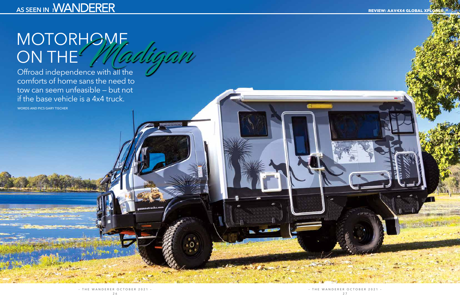# MOTORHOME ON THE Madigan

Offroad independence with all the comforts of home sans the need to tow can seem unfeasible — but not if the base vehicle is a 4x4 truck.

WORDS AND PICS GARY TISCHER

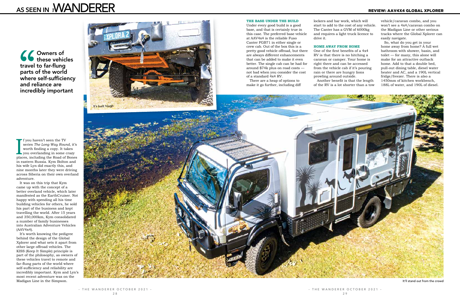I f you haven't seen the TV series *The Long Way Round*, it's worth finding a copy. It takes you overlanding in some crazy places, including the Road of Bones f you haven't seen the TV series *The Long Way Round*, it's worth finding a copy. It takes you overlanding in some crazy in eastern Russia. Kym Bolton and his wife Lyn did exactly this, and nine months later they were driving across Siberia on their own overland adventure.

It was on this trip that Kym came up with the concept of a better overland vehicle, which later manifested as the EarthCruiser. Not happy with spending all his time building vehicles for others, he sold his part of the business and kept travelling the world. After 15 years and 350,000km, Kym consolidated a number of family businesses into Australian Adventure Vehicles (AAV4x4).

It's worth knowing the pedigree behind the design of the Global Xplorer and what sets it apart from other large offroad vehicles. The KISS (Keep It Simple) principle is part of the philosophy, as owners of these vehicles travel to remote and far-flung parts of the world where self-sufficiency and reliability are incredibly important. Kym and Lyn's most recent adventure was on the Madigan Line in the Simpson. It'll stand out from the crowd

#### **THE BASE UNDER THE BUILD**

Under every good build is a good base, and that is certainly true in this case. The preferred base vehicle at AAV4x4 is the reliable Fuso Canter FGB71 in either single or crew cab. Out of the box this is a pretty good vehicle offroad, but there are always different enhancements that can be added to make it even better. The single cab can be had for around \$74k plus on road costs not bad when you consider the cost of a standard 4x4 RV.

There are a heap of options to make it go further, including diff

lockers and bar work, which will start to add to the cost of any vehicle. The Canter has a GVM of 6000kg and requires a light truck licence to drive it.

#### **HOME AWAY FROM HOME**

One of the first benefits of a 4x4 RV is that there is no hitching a caravan or camper. Your home is right there and can be accessed from the vehicle cab if it's pouring rain or there are hungry lions prowling around outside. Another benefit is that the length of the RV is a lot shorter than a tow



vehicle/caravan combo, and you won't see a 4x4/caravan combo on the Madigan Line or other serious tracks where the Global Xplorer can easily navigate.

So, what do you get in your home away from home? A full wet bathroom with shower, basin, and toilet — for many, this alone will make for an attractive outback home. Add to that a double bed, pull-out dining table, diesel water heater and AC, and a 190L vertical fridge/freezer. There is also a 1450mm of kitchen workbench, 188L of water, and 190L of diesel.

## AS SEEN IN **WANDERER**

Owners of these vehicles travel to far-flung parts of the world where self-sufficiency and reliance are incredibly important

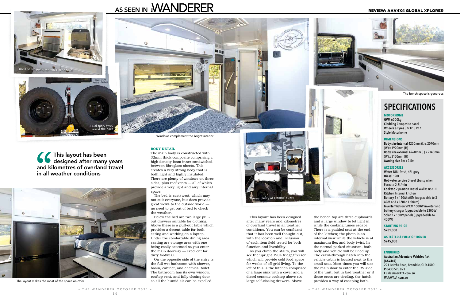### **SPECIFICATIONS**

#### **MOTORHOME**

**GVM** 6000kg **Cladding** Composite panel **Wheels & Tyres** 37x12.5 R17 **Style** Motorhome

#### **DIMENSIONS**

**Body size internal** 4200mm (L) x 2070mm (W) x 1920mm (H) **Body size external** 4260mm (L) x 2140mm (W) x 3150mm (H) **Awning size** 4m x 2.5m

#### **ACCESSORIES**

**Water** 188L fresh, 45L grey **Diesel** 190L **Hot water service** Diesel Eberspacher Furnace 2.5L/min **Cooktop** 2 position Diesel Wallas 85NDT **Kitchen** Internal kitchen **Battery** 2 x 120Ah AGM (upgradable to 3 AGM or 3 x 120Ah Lithium) **Inverter** Victron VPCM 1600W inverter and battery charger (upgradeable to 2300W) **Solar** 2 x 160W panels (upgradeable to 450W)

#### **STARTING PRICE \$201,000**

#### **AS TESTED & FULLY OPTIONED \$245,000**

#### **ENQUIRIES**

**Australian Adventure Vehicles 4x4 (AAV4x4)** 221 Leitchs Road, Brendale, QLD 4500 **P** 0430 595 823 **E** sales@aav4x4.com.au **W** AAV4x4.com.au



#### **BODY DETAIL**

The main body is constructed with 32mm thick composite comprising a high density foam inner sandwiched between fibreglass sheets. This creates a very strong body that is both light and highly insulated. There are plenty of windows on three sides, plus roof vents — all of which provide a very light and airy internal space.

the bench top are three cupboards and a large window to let light in while the cooking fumes escape. There is a padded seat at the end of the kitchen; the photo is an internal view while the vehicle is at maximum flex and body twist. In the normal parked situation, both body and vehicle will be lined up. The crawl-through hatch into the vehicle cabin is located next to the small seat. Most times you will use the main door to enter the RV side of the unit, but in bad weather or if those crocs are circling, the hatch provides a way of escaping both. A full wet bathroom is included

The bed is east/west, which may not suit everyone, but does provide great views to the outside world no need to get out of bed to check the weather.

Below the bed are two large pullout drawers suitable for clothing. Above these is a pull-out table which provides a decent table for both eating and working on a laptop. Under the comfortable dining area seating are storage area with one being easily accessed as you enter the main doorway — excellent for dirty footwear.

On the opposite side of the entry is the full wet bathroom with shower, basin, cabinet, and chemical toilet. The bathroom has its own window, rooftop vent, and fully closing door so all the humid air can be expelled.

This layout has been designed after many years and kilometres of overland travel in all weather conditions. You can be confident that it has been well thought out, with the location and inclusion of each item field tested for both function and liveability.

As you climb the stairs, you will see the upright 190L fridge/freezer which will provide cold food space for weeks of off-grid living. To the left of this is the kitchen comprised of a large sink with a cover and a diesel ceramic cooktop above six large self-closing drawers. Above

This layout has been designed after many years and kilometres of overland travel in all weather conditions



The layout makes the most of the space on offer

The bench space is generous

There's plenty of external space